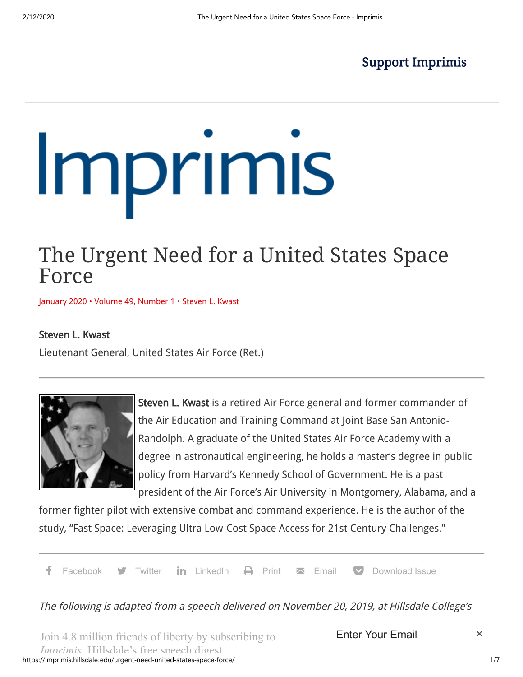# Support [Imprimis](https://secure.hillsdale.edu/imprimis)

# Imprimis

# The Urgent Need for a United States Space Force

January 2020 [• Volume](https://imprimis.hillsdale.edu/urgent-need-united-states-space-force/) 49, Number 1 • [Steven](https://imprimis.hillsdale.edu/author/stevenlkwast/) L. Kwast

## Steven L. Kwast

Lieutenant General, United States Air Force (Ret.)



Steven L. Kwast is a retired Air Force general and former commander of the Air Education and Training Command at Joint Base San Antonio-Randolph. A graduate of the United States Air Force Academy with a degree in astronautical engineering, he holds a master's degree in public policy from Harvard's Kennedy School of Government. He is a past president of the Air Force's Air University in Montgomery, Alabama, and a

former fighter pilot with extensive combat and command experience. He is the author of the study, "Fast Space: Leveraging Ultra Low-Cost Space Access for 21st Century Challenges."

a[Facebook](https://www.facebook.com/sharer/sharer.php?u=https://imprimis.hillsdale.edu/urgent-need-united-states-space-force/&t=The+Urgent+Need+for+a+United+States+Space+Force) **d** Twitter in [LinkedIn](https://www.linkedin.com/shareArticle?mini=true&ro=true&trk=EasySocialShareButtons&title=The+Urgent+Need+for+a+United+States+Space+Force&url=https://imprimis.hillsdale.edu/urgent-need-united-states-space-force/)  $\Box$  [Print](http://www.printfriendly.com/print/?url=https://imprimis.hillsdale.edu/urgent-need-united-states-space-force/)  $\boxtimes$  [Email](mailto:?subject=Visit%20this%20site%20https://imprimis.hillsdale.edu&body=Hi,%20I%20was%20reading%20this%20article%20on%20Imprimis%20and%20thought%20you%20may%20find%20it%20interesting:%20%E2%80%9CThe%20Urgent%20Need%20for%20a%20United%20States%20Space%20Force%E2%80%9D!%20This%20is%20the%20link:%20https://imprimis.hillsdale.edu/urgent-need-united-states-space-force/)  $\Box$  [Download Issue](https://imprimis.hillsdale.edu/wp-content/uploads/2020/01/Imprimis_Jan_20_6pgweb2.pdf)

The following is adapted from a speech delivered on November 20, 2019, at Hillsdale College's

https://imprimis.hillsdale.edu/urgent-need-united-states-space-force/ 1/7 Join 4.8 million friends of liberty by subscribing to *Imprimis* Hillsdale's free speech digest

Enter Your Email  $\times$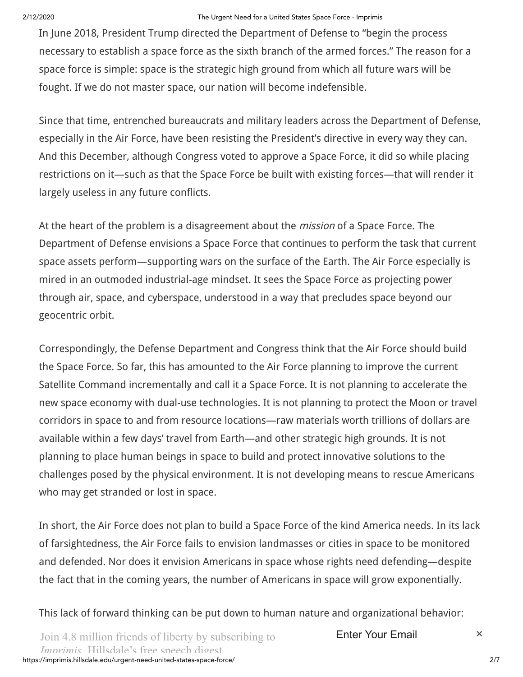#### 2/12/2020 The Urgent Need for a United States Space Force - Imprimis

In June 2018, President Trump directed the Department of Defense to "begin the process necessary to establish a space force as the sixth branch of the armed forces." The reason for a space force is simple: space is the strategic high ground from which all future wars will be fought. If we do not master space, our nation will become indefensible.

Since that time, entrenched bureaucrats and military leaders across the Department of Defense, especially in the Air Force, have been resisting the President's directive in every way they can. And this December, although Congress voted to approve a Space Force, it did so while placing restrictions on it—such as that the Space Force be built with existing forces—that will render it largely useless in any future conflicts.

At the heart of the problem is a disagreement about the *mission* of a Space Force. The Department of Defense envisions a Space Force that continues to perform the task that current space assets perform—supporting wars on the surface of the Earth. The Air Force especially is mired in an outmoded industrial-age mindset. It sees the Space Force as projecting power through air, space, and cyberspace, understood in a way that precludes space beyond our geocentric orbit.

Correspondingly, the Defense Department and Congress think that the Air Force should build the Space Force. So far, this has amounted to the Air Force planning to improve the current Satellite Command incrementally and call it a Space Force. It is not planning to accelerate the new space economy with dual-use technologies. It is not planning to protect the Moon or travel corridors in space to and from resource locations—raw materials worth trillions of dollars are available within a few days' travel from Earth—and other strategic high grounds. It is not planning to place human beings in space to build and protect innovative solutions to the challenges posed by the physical environment. It is not developing means to rescue Americans who may get stranded or lost in space.

In short, the Air Force does not plan to build a Space Force of the kind America needs. In its lack of farsightedness, the Air Force fails to envision landmasses or cities in space to be monitored and defended. Nor does it envision Americans in space whose rights need defending—despite the fact that in the coming years, the number of Americans in space will grow exponentially.

This lack of forward thinking can be put down to human nature and organizational behavior: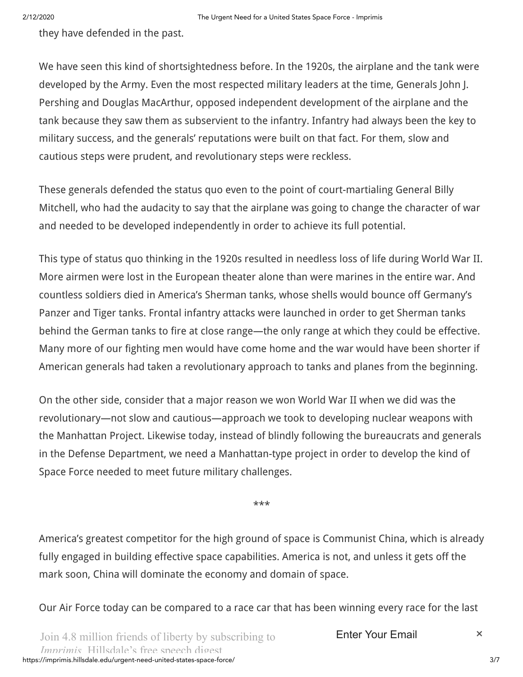they have defended in the past.

We have seen this kind of shortsightedness before. In the 1920s, the airplane and the tank were developed by the Army. Even the most respected military leaders at the time, Generals John J. Pershing and Douglas MacArthur, opposed independent development of the airplane and the tank because they saw them as subservient to the infantry. Infantry had always been the key to military success, and the generals' reputations were built on that fact. For them, slow and cautious steps were prudent, and revolutionary steps were reckless.

These generals defended the status quo even to the point of court-martialing General Billy Mitchell, who had the audacity to say that the airplane was going to change the character of war and needed to be developed independently in order to achieve its full potential.

This type of status quo thinking in the 1920s resulted in needless loss of life during World War II. More airmen were lost in the European theater alone than were marines in the entire war. And countless soldiers died in America's Sherman tanks, whose shells would bounce off Germany's Panzer and Tiger tanks. Frontal infantry attacks were launched in order to get Sherman tanks behind the German tanks to fire at close range—the only range at which they could be effective. Many more of our fighting men would have come home and the war would have been shorter if American generals had taken a revolutionary approach to tanks and planes from the beginning.

On the other side, consider that a major reason we won World War II when we did was the revolutionary—not slow and cautious—approach we took to developing nuclear weapons with the Manhattan Project. Likewise today, instead of blindly following the bureaucrats and generals in the Defense Department, we need a Manhattan-type project in order to develop the kind of Space Force needed to meet future military challenges.

\*\*\*

America's greatest competitor for the high ground of space is Communist China, which is already fully engaged in building effective space capabilities. America is not, and unless it gets off the mark soon, China will dominate the economy and domain of space.

Our Air Force today can be compared to a race car that has been winning every race for the last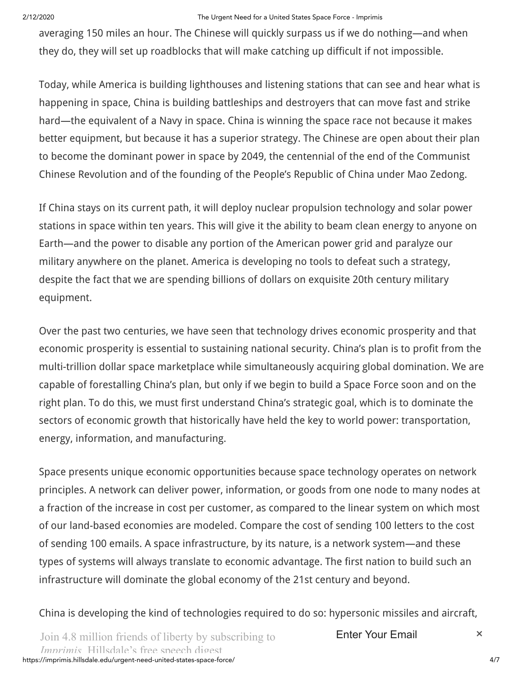#### 2/12/2020 The Urgent Need for a United States Space Force - Imprimis

averaging 150 miles an hour. The Chinese will quickly surpass us if we do nothing—and when they do, they will set up roadblocks that will make catching up difficult if not impossible.

Today, while America is building lighthouses and listening stations that can see and hear what is happening in space, China is building battleships and destroyers that can move fast and strike hard—the equivalent of a Navy in space. China is winning the space race not because it makes better equipment, but because it has a superior strategy. The Chinese are open about their plan to become the dominant power in space by 2049, the centennial of the end of the Communist Chinese Revolution and of the founding of the People's Republic of China under Mao Zedong.

If China stays on its current path, it will deploy nuclear propulsion technology and solar power stations in space within ten years. This will give it the ability to beam clean energy to anyone on Earth—and the power to disable any portion of the American power grid and paralyze our military anywhere on the planet. America is developing no tools to defeat such a strategy, despite the fact that we are spending billions of dollars on exquisite 20th century military equipment.

Over the past two centuries, we have seen that technology drives economic prosperity and that economic prosperity is essential to sustaining national security. China's plan is to profit from the multi-trillion dollar space marketplace while simultaneously acquiring global domination. We are capable of forestalling China's plan, but only if we begin to build a Space Force soon and on the right plan. To do this, we must first understand China's strategic goal, which is to dominate the sectors of economic growth that historically have held the key to world power: transportation, energy, information, and manufacturing.

Space presents unique economic opportunities because space technology operates on network principles. A network can deliver power, information, or goods from one node to many nodes at a fraction of the increase in cost per customer, as compared to the linear system on which most of our land-based economies are modeled. Compare the cost of sending 100 letters to the cost of sending 100 emails. A space infrastructure, by its nature, is a network system—and these types of systems will always translate to economic advantage. The first nation to build such an infrastructure will dominate the global economy of the 21st century and beyond.

China is developing the kind of technologies required to do so: hypersonic missiles and aircraft,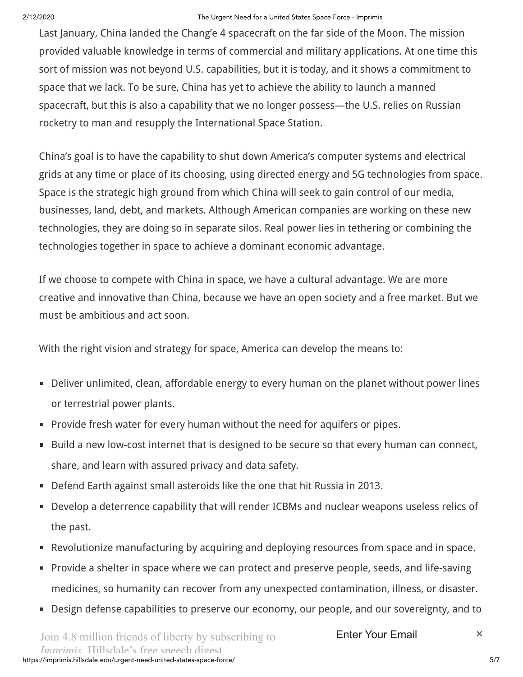### 2/12/2020 The Urgent Need for a United States Space Force - Imprimis

Last January, China landed the Chang'e 4 spacecraft on the far side of the Moon. The mission provided valuable knowledge in terms of commercial and military applications. At one time this sort of mission was not beyond U.S. capabilities, but it is today, and it shows a commitment to space that we lack. To be sure, China has yet to achieve the ability to launch a manned spacecraft, but this is also a capability that we no longer possess—the U.S. relies on Russian rocketry to man and resupply the International Space Station.

China's goal is to have the capability to shut down America's computer systems and electrical grids at any time or place of its choosing, using directed energy and 5G technologies from space. Space is the strategic high ground from which China will seek to gain control of our media, businesses, land, debt, and markets. Although American companies are working on these new technologies, they are doing so in separate silos. Real power lies in tethering or combining the technologies together in space to achieve a dominant economic advantage.

If we choose to compete with China in space, we have a cultural advantage. We are more creative and innovative than China, because we have an open society and a free market. But we must be ambitious and act soon.

With the right vision and strategy for space, America can develop the means to:

- Deliver unlimited, clean, affordable energy to every human on the planet without power lines or terrestrial power plants.
- Provide fresh water for every human without the need for aquifers or pipes.
- Build a new low-cost internet that is designed to be secure so that every human can connect,  $\blacksquare$ share, and learn with assured privacy and data safety.
- Defend Earth against small asteroids like the one that hit Russia in 2013.  $\blacksquare$
- Develop a deterrence capability that will render ICBMs and nuclear weapons useless relics of  $\Box$ the past.
- Revolutionize manufacturing by acquiring and deploying resources from space and in space.  $\blacksquare$
- Provide a shelter in space where we can protect and preserve people, seeds, and life-saving medicines, so humanity can recover from any unexpected contamination, illness, or disaster.
- Design defense capabilities to preserve our economy, our people, and our sovereignty, and to  $\blacksquare$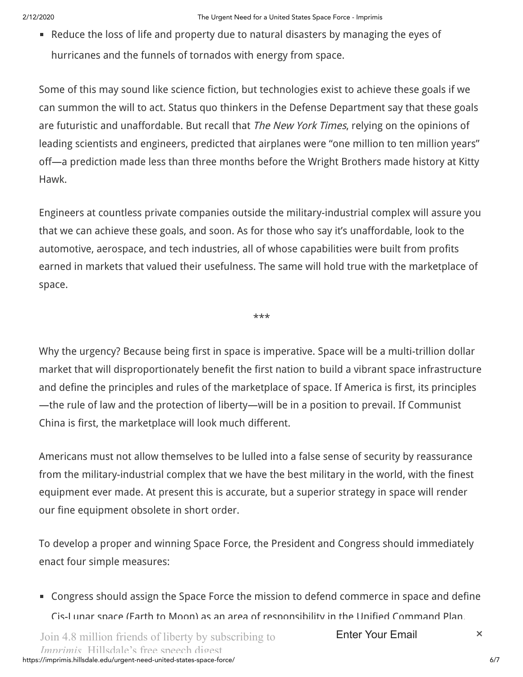Reduce the loss of life and property due to natural disasters by managing the eyes of hurricanes and the funnels of tornados with energy from space.

Some of this may sound like science fiction, but technologies exist to achieve these goals if we can summon the will to act. Status quo thinkers in the Defense Department say that these goals are futuristic and unaffordable. But recall that *The New York Times*, relying on the opinions of leading scientists and engineers, predicted that airplanes were "one million to ten million years" off—a prediction made less than three months before the Wright Brothers made history at Kitty Hawk.

Engineers at countless private companies outside the military-industrial complex will assure you that we can achieve these goals, and soon. As for those who say it's unaffordable, look to the automotive, aerospace, and tech industries, all of whose capabilities were built from profits earned in markets that valued their usefulness. The same will hold true with the marketplace of space.

\*\*\*

Why the urgency? Because being first in space is imperative. Space will be a multi-trillion dollar market that will disproportionately benefit the first nation to build a vibrant space infrastructure and define the principles and rules of the marketplace of space. If America is first, its principles —the rule of law and the protection of liberty—will be in a position to prevail. If Communist China is first, the marketplace will look much different.

Americans must not allow themselves to be lulled into a false sense of security by reassurance from the military-industrial complex that we have the best military in the world, with the finest equipment ever made. At present this is accurate, but a superior strategy in space will render our fine equipment obsolete in short order.

To develop a proper and winning Space Force, the President and Congress should immediately enact four simple measures:

Congress should assign the Space Force the mission to defend commerce in space and define Cis-Lunar space (Earth to Moon) as an area of responsibility in the Unified Command Plan.

https://imprimis.hillsdale.edu/urgent-need-united-states-space-force/ 6/7 Join 4.8 million friends of liberty by subscribing to *Imprimis* Hillsdale's free speech digest

Enter Your Email  $\times$